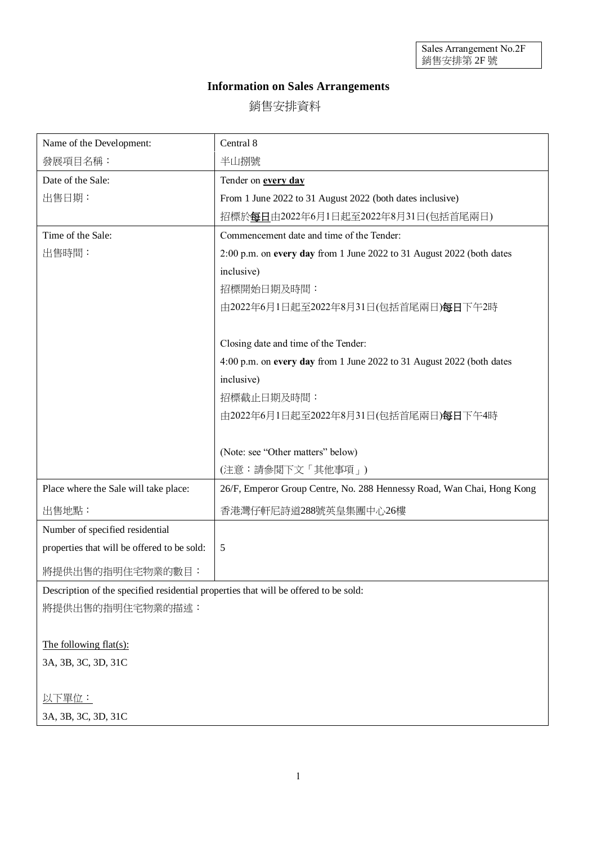## **Information on Sales Arrangements**

銷售安排資料

| Name of the Development:                                                             | Central 8                                                              |
|--------------------------------------------------------------------------------------|------------------------------------------------------------------------|
| 發展項目名稱:                                                                              | 半山捌號                                                                   |
| Date of the Sale:                                                                    | Tender on every day                                                    |
| 出售日期:                                                                                | From 1 June 2022 to 31 August 2022 (both dates inclusive)              |
|                                                                                      | 招標於每日由2022年6月1日起至2022年8月31日(包括首尾兩日)                                    |
| Time of the Sale:                                                                    | Commencement date and time of the Tender:                              |
| 出售時間:                                                                                | 2:00 p.m. on every day from 1 June 2022 to 31 August 2022 (both dates  |
|                                                                                      | inclusive)                                                             |
|                                                                                      | 招標開始日期及時間:                                                             |
|                                                                                      | 由2022年6月1日起至2022年8月31日(包括首尾兩日)每日下午2時                                   |
|                                                                                      |                                                                        |
|                                                                                      | Closing date and time of the Tender:                                   |
|                                                                                      | 4:00 p.m. on every day from 1 June 2022 to 31 August 2022 (both dates  |
|                                                                                      | inclusive)                                                             |
|                                                                                      | 招標截止日期及時間:                                                             |
|                                                                                      | 由2022年6月1日起至2022年8月31日(包括首尾兩日)每日下午4時                                   |
|                                                                                      |                                                                        |
|                                                                                      | (Note: see "Other matters" below)                                      |
|                                                                                      | (注意:請參閲下文「其他事項」)                                                       |
| Place where the Sale will take place:                                                | 26/F, Emperor Group Centre, No. 288 Hennessy Road, Wan Chai, Hong Kong |
| 出售地點:                                                                                | 香港灣仔軒尼詩道288號英皇集團中心26樓                                                  |
| Number of specified residential                                                      |                                                                        |
| properties that will be offered to be sold:                                          | 5                                                                      |
| 將提供出售的指明住宅物業的數目:                                                                     |                                                                        |
| Description of the specified residential properties that will be offered to be sold: |                                                                        |
| 將提供出售的指明住宅物業的描述:                                                                     |                                                                        |
|                                                                                      |                                                                        |
| The following flat $(s)$ :                                                           |                                                                        |
| 3A, 3B, 3C, 3D, 31C                                                                  |                                                                        |
|                                                                                      |                                                                        |
| 以下單位:                                                                                |                                                                        |
| 3A, 3B, 3C, 3D, 31C                                                                  |                                                                        |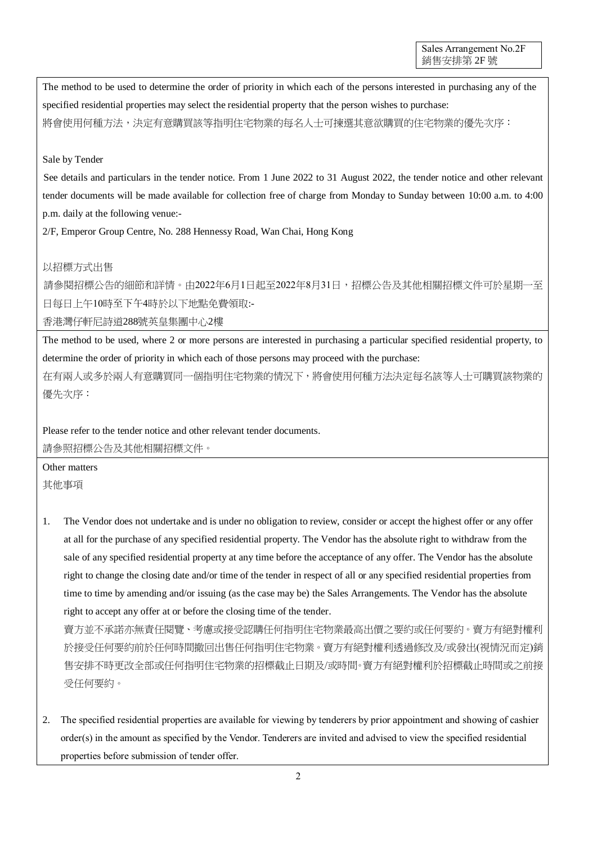The method to be used to determine the order of priority in which each of the persons interested in purchasing any of the specified residential properties may select the residential property that the person wishes to purchase: 將會使用何種方法,決定有意購買該等指明住宅物業的每名人士可揀選其意欲購買的住宅物業的優先次序:

## Sale by Tender

See details and particulars in the tender notice. From 1 June 2022 to 31 August 2022, the tender notice and other relevant tender documents will be made available for collection free of charge from Monday to Sunday between 10:00 a.m. to 4:00 p.m. daily at the following venue:-

2/F, Emperor Group Centre, No. 288 Hennessy Road, Wan Chai, Hong Kong

## 以招標方式出售

請參閱招標公告的細節和詳情。由2022年6月1日起至2022年8月31日,招標公告及其他相關招標文件可於星期一至 日每日上午10時至下午4時於以下地點免費領取:-

香港灣仔軒尼詩道288號英皇集團中心2樓

The method to be used, where 2 or more persons are interested in purchasing a particular specified residential property, to determine the order of priority in which each of those persons may proceed with the purchase:

在有兩人或多於兩人有意購買同一個指明住宅物業的情況下,將會使用何種方法決定每名該等人士可購買該物業的 優先次序:

Please refer to the tender notice and other relevant tender documents.

請參照招標公告及其他相關招標文件。

Other matters 其他事項

1. The Vendor does not undertake and is under no obligation to review, consider or accept the highest offer or any offer at all for the purchase of any specified residential property. The Vendor has the absolute right to withdraw from the sale of any specified residential property at any time before the acceptance of any offer. The Vendor has the absolute right to change the closing date and/or time of the tender in respect of all or any specified residential properties from time to time by amending and/or issuing (as the case may be) the Sales Arrangements. The Vendor has the absolute right to accept any offer at or before the closing time of the tender.

賣方並不承諾亦無責任閱覽、考慮或接受認購任何指明住宅物業最高出價之要約或任何要約。賣方有絕對權利 於接受任何要約前於任何時間撤回出售任何指明住宅物業。賣方有絕對權利透過修改及/或發出(視情況而定)銷 售安排不時更改全部或任何指明住宅物業的招標截止日期及/或時間。賣方有絕對權利於招標截止時間或之前接 受任何要約。

2. The specified residential properties are available for viewing by tenderers by prior appointment and showing of cashier order(s) in the amount as specified by the Vendor. Tenderers are invited and advised to view the specified residential properties before submission of tender offer.